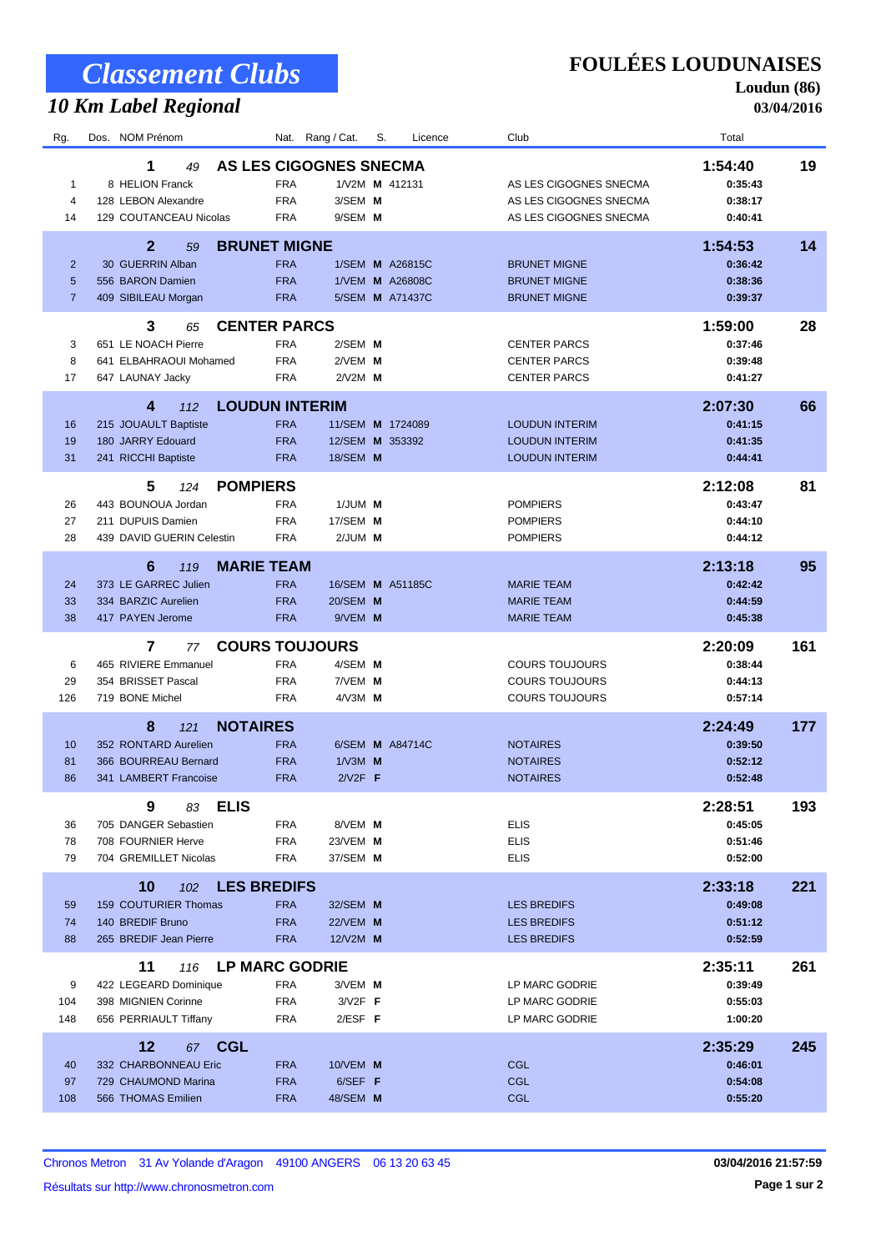# *Classement Clubs*

# *10 Km Label Regional*

**FOULÉES LOUDUNAISES**

**Loudun (86) 03/04/2016**

| Rg.                                   | NOM Prénom<br>Dos.                                                                            | Rang / Cat.<br>Nat.                                                                                      | S.<br>Licence                                                       | Club                                                                       | Total                                    |     |
|---------------------------------------|-----------------------------------------------------------------------------------------------|----------------------------------------------------------------------------------------------------------|---------------------------------------------------------------------|----------------------------------------------------------------------------|------------------------------------------|-----|
| 1<br>4<br>14                          | 1<br>49<br>8 HELION Franck<br>128 LEBON Alexandre<br>129 COUTANCEAU Nicolas                   | AS LES CIGOGNES SNECMA<br><b>FRA</b><br><b>FRA</b><br>3/SEM M<br><b>FRA</b><br>9/SEM M                   | 1/V2M M 412131                                                      | AS LES CIGOGNES SNECMA<br>AS LES CIGOGNES SNECMA<br>AS LES CIGOGNES SNECMA | 1:54:40<br>0:35:43<br>0:38:17<br>0:40:41 | 19  |
| $\overline{2}$<br>5<br>$\overline{7}$ | $\overline{2}$<br>59<br>30 GUERRIN Alban<br>556 BARON Damien<br>409 SIBILEAU Morgan           | <b>BRUNET MIGNE</b><br><b>FRA</b><br><b>FRA</b><br><b>FRA</b>                                            | 1/SEM <b>M</b> A26815C<br>1/VEM <b>M</b> A26808C<br>5/SEM M A71437C | <b>BRUNET MIGNE</b><br><b>BRUNET MIGNE</b><br><b>BRUNET MIGNE</b>          | 1:54:53<br>0:36:42<br>0:38:36<br>0:39:37 | 14  |
| 3<br>8<br>17                          | 3<br>65<br>651 LE NOACH Pierre<br>641 ELBAHRAOUI Mohamed<br>647 LAUNAY Jacky                  | <b>CENTER PARCS</b><br>2/SEM M<br><b>FRA</b><br><b>FRA</b><br>2/VEM M<br><b>FRA</b><br>$2N2M$ M          |                                                                     | <b>CENTER PARCS</b><br><b>CENTER PARCS</b><br><b>CENTER PARCS</b>          | 1:59:00<br>0:37:46<br>0:39:48<br>0:41:27 | 28  |
| 16<br>19<br>31                        | 4<br>112<br>215 JOUAULT Baptiste<br>180 JARRY Edouard<br>241 RICCHI Baptiste                  | <b>LOUDUN INTERIM</b><br><b>FRA</b><br><b>FRA</b><br><b>FRA</b><br>18/SEM M                              | 11/SEM M 1724089<br>12/SEM M 353392                                 | <b>LOUDUN INTERIM</b><br><b>LOUDUN INTERIM</b><br><b>LOUDUN INTERIM</b>    | 2:07:30<br>0:41:15<br>0:41:35<br>0:44:41 | 66  |
| 26<br>27<br>28                        | 5<br>124<br>443 BOUNOUA Jordan<br>211 DUPUIS Damien<br>439 DAVID GUERIN Celestin              | <b>POMPIERS</b><br><b>FRA</b><br>1/JUM M<br><b>FRA</b><br>17/SEM M<br><b>FRA</b><br>$2/JUM$ M            |                                                                     | <b>POMPIERS</b><br><b>POMPIERS</b><br><b>POMPIERS</b>                      | 2:12:08<br>0:43:47<br>0:44:10<br>0:44:12 | 81  |
| 24<br>33<br>38                        | 6<br>119<br>373 LE GARREC Julien<br>334 BARZIC Aurelien<br>417 PAYEN Jerome                   | <b>MARIE TEAM</b><br><b>FRA</b><br><b>FRA</b><br>20/SEM M<br><b>FRA</b><br>9/VEM M                       | 16/SEM M A51185C                                                    | <b>MARIE TEAM</b><br><b>MARIE TEAM</b><br><b>MARIE TEAM</b>                | 2:13:18<br>0:42:42<br>0:44:59<br>0:45:38 | 95  |
| 6<br>29<br>126                        | 7<br>77<br>465 RIVIERE Emmanuel<br>354 BRISSET Pascal<br>719 BONE Michel                      | <b>COURS TOUJOURS</b><br><b>FRA</b><br>4/SEM M<br><b>FRA</b><br>7/VEM M<br><b>FRA</b><br>$4/\sqrt{3}M$ M |                                                                     | <b>COURS TOUJOURS</b><br><b>COURS TOUJOURS</b><br><b>COURS TOUJOURS</b>    | 2:20:09<br>0:38:44<br>0:44:13<br>0:57:14 | 161 |
| 10<br>81<br>86                        | 8<br>121<br>352 RONTARD Aurelien<br>366 BOURREAU Bernard<br>341 LAMBERT Francoise             | <b>NOTAIRES</b><br><b>FRA</b><br><b>FRA</b><br>$1/\sqrt{3}M$ M<br><b>FRA</b><br>$2N2F$ F                 | 6/SEM M A84714C                                                     | <b>NOTAIRES</b><br><b>NOTAIRES</b><br><b>NOTAIRES</b>                      | 2:24:49<br>0:39:50<br>0:52:12<br>0:52:48 | 177 |
| 36<br>78<br>79                        | 9<br><b>ELIS</b><br>83<br>705 DANGER Sebastien<br>708 FOURNIER Herve<br>704 GREMILLET Nicolas | <b>FRA</b><br>8/VEM M<br><b>FRA</b><br>23/VEM <b>M</b><br><b>FRA</b><br>37/SEM <b>M</b>                  |                                                                     | <b>ELIS</b><br><b>ELIS</b><br>ELIS                                         | 2:28:51<br>0:45:05<br>0:51:46<br>0:52:00 | 193 |
| 59<br>74<br>88                        | 10<br>102<br>159 COUTURIER Thomas<br>140 BREDIF Bruno<br>265 BREDIF Jean Pierre               | <b>LES BREDIFS</b><br><b>FRA</b><br>32/SEM M<br><b>FRA</b><br>22/VEM <b>M</b><br><b>FRA</b><br>12/V2M M  |                                                                     | <b>LES BREDIFS</b><br><b>LES BREDIFS</b><br><b>LES BREDIFS</b>             | 2:33:18<br>0:49:08<br>0:51:12<br>0:52:59 | 221 |
| 9<br>104<br>148                       | 11<br>116<br>422 LEGEARD Dominique<br>398 MIGNIEN Corinne<br>656 PERRIAULT Tiffany            | <b>LP MARC GODRIE</b><br>3/VEM M<br><b>FRA</b><br><b>FRA</b><br>$3/12F$ F<br><b>FRA</b><br>$2/ESF$ F     |                                                                     | LP MARC GODRIE<br>LP MARC GODRIE<br>LP MARC GODRIE                         | 2:35:11<br>0:39:49<br>0:55:03<br>1:00:20 | 261 |
| 40<br>97<br>108                       | 12<br><b>CGL</b><br>67<br>332 CHARBONNEAU Eric<br>729 CHAUMOND Marina<br>566 THOMAS Emilien   | 10/VEM <b>M</b><br><b>FRA</b><br>6/SEF F<br><b>FRA</b><br><b>FRA</b><br>48/SEM M                         |                                                                     | <b>CGL</b><br><b>CGL</b><br><b>CGL</b>                                     | 2:35:29<br>0:46:01<br>0:54:08<br>0:55:20 | 245 |